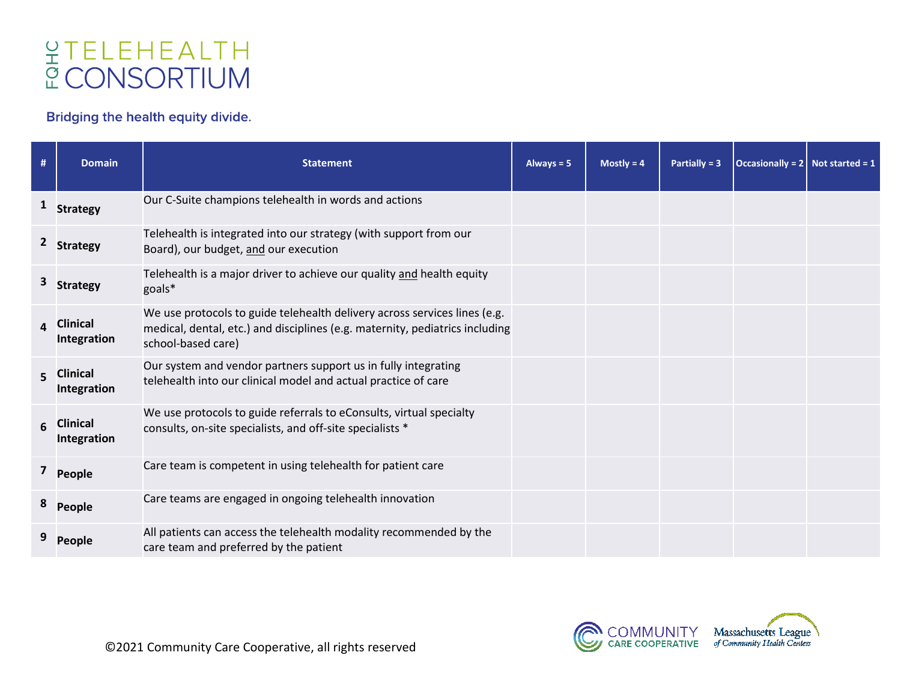## **GTELEHEALTH<br>CONSORTIUM**

## Bridging the health equity divide.

| #            | <b>Domain</b>                  | <b>Statement</b>                                                                                                                                                                | Always $= 5$ | Mostly = $4$ | Partially = $3$ | Occasionally = $2 \mid$ Not started = 1 |  |
|--------------|--------------------------------|---------------------------------------------------------------------------------------------------------------------------------------------------------------------------------|--------------|--------------|-----------------|-----------------------------------------|--|
| $\mathbf{1}$ | <b>Strategy</b>                | Our C-Suite champions telehealth in words and actions                                                                                                                           |              |              |                 |                                         |  |
|              | <b>Strategy</b>                | Telehealth is integrated into our strategy (with support from our<br>Board), our budget, and our execution                                                                      |              |              |                 |                                         |  |
|              | <b>Strategy</b>                | Telehealth is a major driver to achieve our quality and health equity<br>goals*                                                                                                 |              |              |                 |                                         |  |
| $\Delta$     | <b>Clinical</b><br>Integration | We use protocols to guide telehealth delivery across services lines (e.g.<br>medical, dental, etc.) and disciplines (e.g. maternity, pediatrics including<br>school-based care) |              |              |                 |                                         |  |
| 5.           | <b>Clinical</b><br>Integration | Our system and vendor partners support us in fully integrating<br>telehealth into our clinical model and actual practice of care                                                |              |              |                 |                                         |  |
| 6            | <b>Clinical</b><br>Integration | We use protocols to guide referrals to eConsults, virtual specialty<br>consults, on-site specialists, and off-site specialists *                                                |              |              |                 |                                         |  |
|              | People                         | Care team is competent in using telehealth for patient care                                                                                                                     |              |              |                 |                                         |  |
|              | People                         | Care teams are engaged in ongoing telehealth innovation                                                                                                                         |              |              |                 |                                         |  |
|              | <b>People</b>                  | All patients can access the telehealth modality recommended by the<br>care team and preferred by the patient                                                                    |              |              |                 |                                         |  |